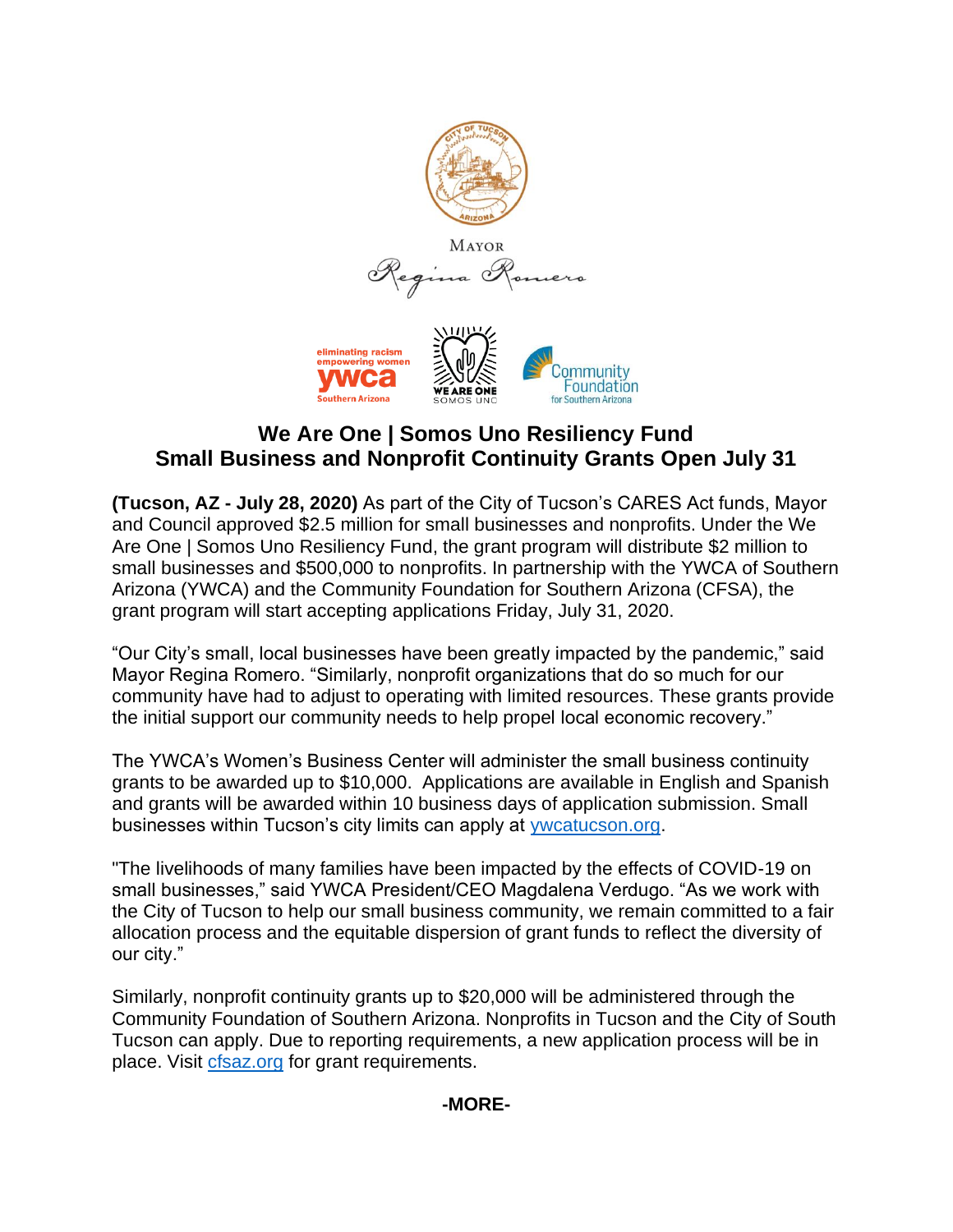

# **We Are One | Somos Uno Resiliency Fund Small Business and Nonprofit Continuity Grants Open July 31**

**(Tucson, AZ - July 28, 2020)** As part of the City of Tucson's CARES Act funds, Mayor and Council approved \$2.5 million for small businesses and nonprofits. Under the We Are One | Somos Uno Resiliency Fund, the grant program will distribute \$2 million to small businesses and \$500,000 to nonprofits. In partnership with the YWCA of Southern Arizona (YWCA) and the Community Foundation for Southern Arizona (CFSA), the grant program will start accepting applications Friday, July 31, 2020.

"Our City's small, local businesses have been greatly impacted by the pandemic," said Mayor Regina Romero. "Similarly, nonprofit organizations that do so much for our community have had to adjust to operating with limited resources. These grants provide the initial support our community needs to help propel local economic recovery."

The YWCA's Women's Business Center will administer the small business continuity grants to be awarded up to \$10,000. Applications are available in English and Spanish and grants will be awarded within 10 business days of application submission. Small businesses within Tucson's city limits can apply at [ywcatucson.org.](http://www.ywcatucson.org/)

"The livelihoods of many families have been impacted by the effects of COVID-19 on small businesses," said YWCA President/CEO Magdalena Verdugo. "As we work with the City of Tucson to help our small business community, we remain committed to a fair allocation process and the equitable dispersion of grant funds to reflect the diversity of our city."

Similarly, nonprofit continuity grants up to \$20,000 will be administered through the Community Foundation of Southern Arizona. Nonprofits in Tucson and the City of South Tucson can apply. Due to reporting requirements, a new application process will be in place. Visit [cfsaz.org](http://www.cfsaz.org/) for grant requirements.

# **-MORE-**